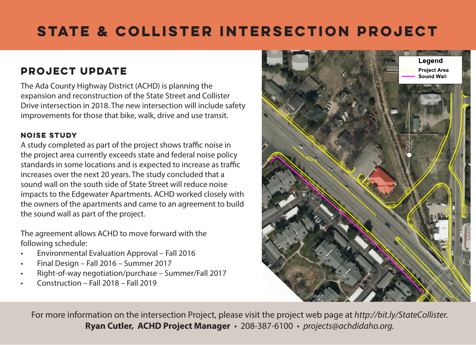## **State & Collister Intersection Project**

## **Project Update**

The Ada County Highway District (ACHD) is planning the expansion and reconstruction of the State Street and Collister Drive intersection in 2018. The new intersection will include safety improvements for those that bike, walk, drive and use transit.

## **Noise Study**

A study completed as part of the project shows traffic noise in the project area currently exceeds state and federal noise policy standards in some locations and is expected to increase as traffic increases over the next 20 years. The study concluded that a sound wall on the south side of State Street will reduce noise impacts to the Edgewater Apartments. ACHD worked closely with the owners of the apartments and came to an agreement to build the sound wall as part of the project.

The agreement allows ACHD to move forward with the following schedule:

- Environmental Evaluation Approval Fall 2016
- Final Design Fall 2016 Summer 2017
- Right-of-way negotiation/purchase Summer/Fall 2017
- Construction Fall 2018 Fall 2019



For more information on the intersection Project, please visit the project web page at *http://bit.ly/StateCollister.* **Ryan Cutler, ACHD Project Manager** • 208-387-6100 • *projects@achdidaho.org.*